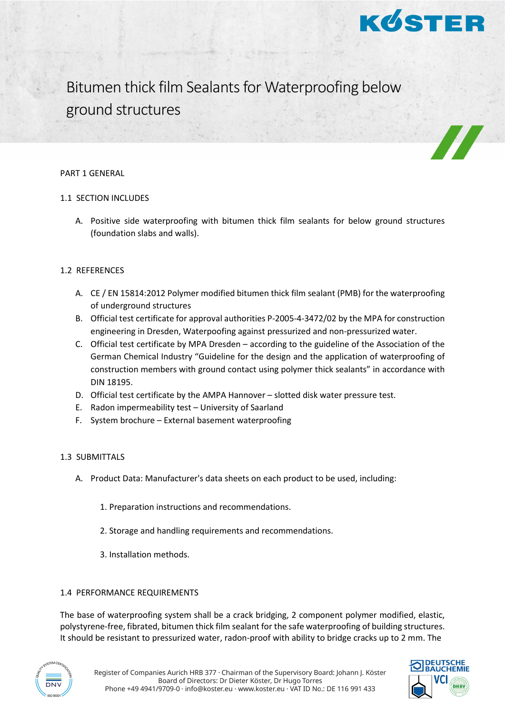

Bitumen thick film Sealants for Waterproofing below ground structures

#### PART 1 GENERAL

# 1.1 SECTION INCLUDES

A. Positive side waterproofing with bitumen thick film sealants for below ground structures (foundation slabs and walls).

# 1.2 REFERENCES

- A. CE / EN 15814:2012 Polymer modified bitumen thick film sealant (PMB) for the waterproofing of underground structures
- B. Official test certificate for approval authorities P-2005-4-3472/02 by the MPA for construction engineering in Dresden, Waterpoofing against pressurized and non-pressurized water.
- C. Official test certificate by MPA Dresden according to the guideline of the Association of the German Chemical Industry "Guideline for the design and the application of waterproofing of construction members with ground contact using polymer thick sealants" in accordance with DIN 18195.
- D. Official test certificate by the AMPA Hannover slotted disk water pressure test.
- E. Radon impermeability test University of Saarland
- F. System brochure External basement waterproofing

# 1.3 SUBMITTALS

- A. Product Data: Manufacturer's data sheets on each product to be used, including:
	- 1. Preparation instructions and recommendations.
	- 2. Storage and handling requirements and recommendations.
	- 3. Installation methods.

# 1.4 PERFORMANCE REQUIREMENTS

The base of waterproofing system shall be a crack bridging, 2 component polymer modified, elastic, polystyrene-free, fibrated, bitumen thick film sealant for the safe waterproofing of building structures. It should be resistant to pressurized water, radon-proof with ability to bridge cracks up to 2 mm. The



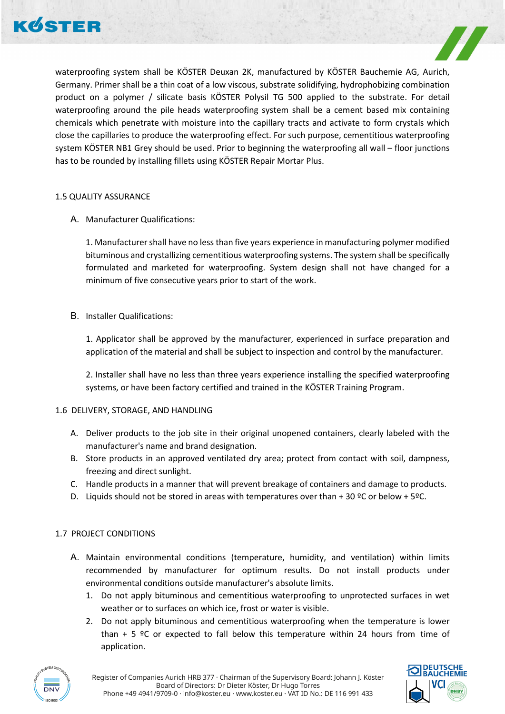



waterproofing system shall be KÖSTER Deuxan 2K, manufactured by KÖSTER Bauchemie AG, Aurich, Germany. Primer shall be a thin coat of a low viscous, substrate solidifying, hydrophobizing combination product on a polymer / silicate basis KÖSTER Polysil TG 500 applied to the substrate. For detail waterproofing around the pile heads waterproofing system shall be a cement based mix containing chemicals which penetrate with moisture into the capillary tracts and activate to form crystals which close the capillaries to produce the waterproofing effect. For such purpose, cementitious waterproofing system KÖSTER NB1 Grey should be used. Prior to beginning the waterproofing all wall – floor junctions has to be rounded by installing fillets using KÖSTER Repair Mortar Plus.

## 1.5 QUALITY ASSURANCE

A. Manufacturer Qualifications:

1. Manufacturer shall have no less than five years experience in manufacturing polymer modified bituminous and crystallizing cementitious waterproofing systems. The system shall be specifically formulated and marketed for waterproofing. System design shall not have changed for a minimum of five consecutive years prior to start of the work.

B. Installer Qualifications:

1. Applicator shall be approved by the manufacturer, experienced in surface preparation and application of the material and shall be subject to inspection and control by the manufacturer.

2. Installer shall have no less than three years experience installing the specified waterproofing systems, or have been factory certified and trained in the KÖSTER Training Program.

## 1.6 DELIVERY, STORAGE, AND HANDLING

- A. Deliver products to the job site in their original unopened containers, clearly labeled with the manufacturer's name and brand designation.
- B. Store products in an approved ventilated dry area; protect from contact with soil, dampness, freezing and direct sunlight.
- C. Handle products in a manner that will prevent breakage of containers and damage to products.
- D. Liquids should not be stored in areas with temperatures over than + 30  $°C$  or below + 5°C.

## 1.7 PROJECT CONDITIONS

- A. Maintain environmental conditions (temperature, humidity, and ventilation) within limits recommended by manufacturer for optimum results. Do not install products under environmental conditions outside manufacturer's absolute limits.
	- 1. Do not apply bituminous and cementitious waterproofing to unprotected surfaces in wet weather or to surfaces on which ice, frost or water is visible.
	- 2. Do not apply bituminous and cementitious waterproofing when the temperature is lower than  $+ 5$  °C or expected to fall below this temperature within 24 hours from time of application.



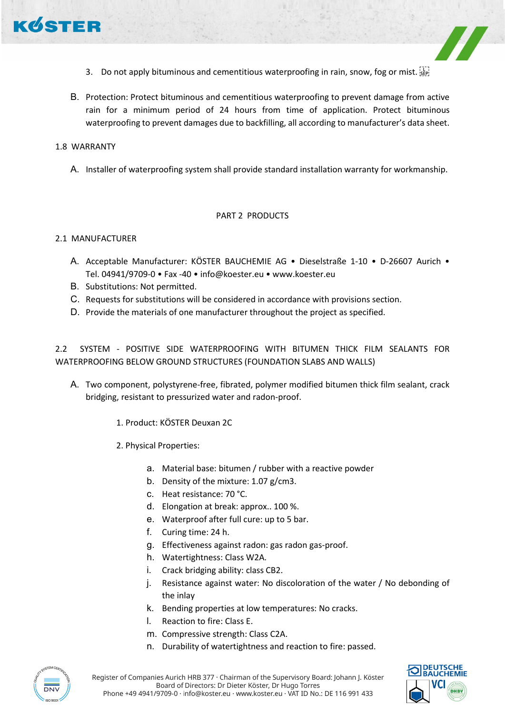

- 3. Do not apply bituminous and cementitious waterproofing in rain, snow, fog or mist.
- B. Protection: Protect bituminous and cementitious waterproofing to prevent damage from active rain for a minimum period of 24 hours from time of application. Protect bituminous waterproofing to prevent damages due to backfilling, all according to manufacturer's data sheet.

#### 1.8 WARRANTY

A. Installer of waterproofing system shall provide standard installation warranty for workmanship.

#### PART 2 PRODUCTS

## 2.1 MANUFACTURER

- A. Acceptable Manufacturer: KÖSTER BAUCHEMIE AG Dieselstraße 1-10 D-26607 Aurich Tel. 04941/9709-0 • Fax -40 • info@koester.eu • www.koester.eu
- B. Substitutions: Not permitted.
- C. Requests for substitutions will be considered in accordance with provisions section.
- D. Provide the materials of one manufacturer throughout the project as specified.

2.2 SYSTEM - POSITIVE SIDE WATERPROOFING WITH BITUMEN THICK FILM SEALANTS FOR WATERPROOFING BELOW GROUND STRUCTURES (FOUNDATION SLABS AND WALLS)

- A. Two component, polystyrene-free, fibrated, polymer modified bitumen thick film sealant, crack bridging, resistant to pressurized water and radon-proof.
	- 1. Product: KÖSTER Deuxan 2C
	- 2. Physical Properties:
		- a. Material base: bitumen / rubber with a reactive powder
		- b. Density of the mixture: 1.07 g/cm3.
		- c. Heat resistance: 70 °C.
		- d. Elongation at break: approx.. 100 %.
		- e. Waterproof after full cure: up to 5 bar.
		- f. Curing time: 24 h.
		- g. Effectiveness against radon: gas radon gas-proof.
		- h. Watertightness: Class W2A.
		- i. Crack bridging ability: class CB2.
		- j. Resistance against water: No discoloration of the water / No debonding of the inlay
		- k. Bending properties at low temperatures: No cracks.
		- l. Reaction to fire: Class E.
		- m. Compressive strength: Class C2A.
		- n. Durability of watertightness and reaction to fire: passed.





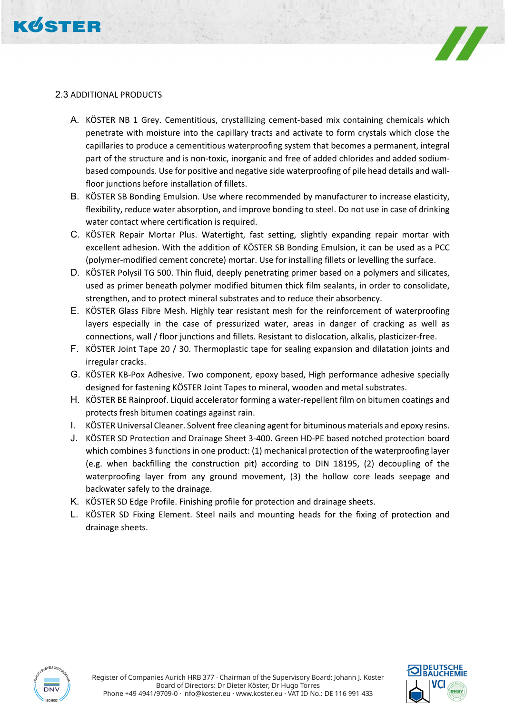



# 2.3 ADDITIONAL PRODUCTS

- A. KÖSTER NB 1 Grey. Cementitious, crystallizing cement-based mix containing chemicals which penetrate with moisture into the capillary tracts and activate to form crystals which close the capillaries to produce a cementitious waterproofing system that becomes a permanent, integral part of the structure and is non-toxic, inorganic and free of added chlorides and added sodiumbased compounds. Use for positive and negative side waterproofing of pile head details and wallfloor junctions before installation of fillets.
- B. KÖSTER SB Bonding Emulsion. Use where recommended by manufacturer to increase elasticity, flexibility, reduce water absorption, and improve bonding to steel. Do not use in case of drinking water contact where certification is required.
- C. KÖSTER Repair Mortar Plus. Watertight, fast setting, slightly expanding repair mortar with excellent adhesion. With the addition of KÖSTER SB Bonding Emulsion, it can be used as a PCC (polymer-modified cement concrete) mortar. Use for installing fillets or levelling the surface.
- D. KÖSTER Polysil TG 500. Thin fluid, deeply penetrating primer based on a polymers and silicates, used as primer beneath polymer modified bitumen thick film sealants, in order to consolidate, strengthen, and to protect mineral substrates and to reduce their absorbency.
- E. KÖSTER Glass Fibre Mesh. Highly tear resistant mesh for the reinforcement of waterproofing layers especially in the case of pressurized water, areas in danger of cracking as well as connections, wall / floor junctions and fillets. Resistant to dislocation, alkalis, plasticizer-free.
- F. KÖSTER Joint Tape 20 / 30. Thermoplastic tape for sealing expansion and dilatation joints and irregular cracks.
- G. KÖSTER KB-Pox Adhesive. Two component, epoxy based, High performance adhesive specially designed for fastening KÖSTER Joint Tapes to mineral, wooden and metal substrates.
- H. KÖSTER BE Rainproof. Liquid accelerator forming a water-repellent film on bitumen coatings and protects fresh bitumen coatings against rain.
- I. KÖSTER Universal Cleaner. Solvent free cleaning agent for bituminous materials and epoxy resins.
- J. KÖSTER SD Protection and Drainage Sheet 3-400. Green HD-PE based notched protection board which combines 3 functions in one product: (1) mechanical protection of the waterproofing layer (e.g. when backfilling the construction pit) according to DIN 18195, (2) decoupling of the waterproofing layer from any ground movement, (3) the hollow core leads seepage and backwater safely to the drainage.
- K. KÖSTER SD Edge Profile. Finishing profile for protection and drainage sheets.
- L. KÖSTER SD Fixing Element. Steel nails and mounting heads for the fixing of protection and drainage sheets.



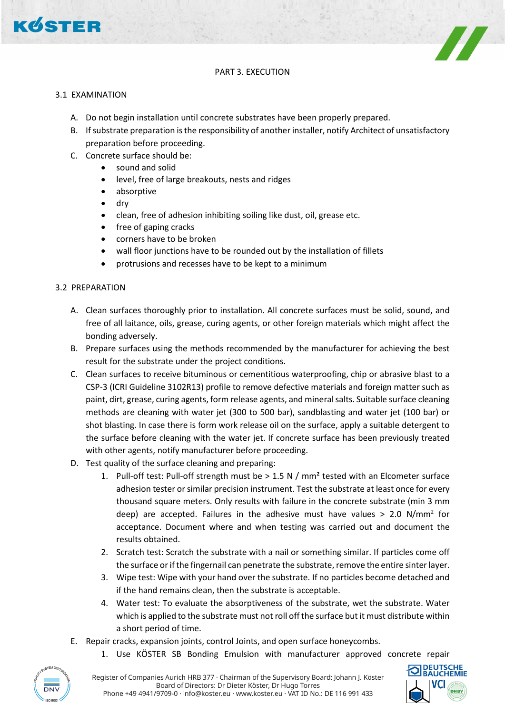

# PART 3. EXECUTION

## 3.1 EXAMINATION

- A. Do not begin installation until concrete substrates have been properly prepared.
- B. If substrate preparation is the responsibility of another installer, notify Architect of unsatisfactory preparation before proceeding.
- C. Concrete surface should be:
	- sound and solid
	- level, free of large breakouts, nests and ridges
	- absorptive
	- dry
	- clean, free of adhesion inhibiting soiling like dust, oil, grease etc.
	- free of gaping cracks
	- corners have to be broken
	- wall floor junctions have to be rounded out by the installation of fillets
	- protrusions and recesses have to be kept to a minimum

# 3.2 PREPARATION

- A. Clean surfaces thoroughly prior to installation. All concrete surfaces must be solid, sound, and free of all laitance, oils, grease, curing agents, or other foreign materials which might affect the bonding adversely.
- B. Prepare surfaces using the methods recommended by the manufacturer for achieving the best result for the substrate under the project conditions.
- C. Clean surfaces to receive bituminous or cementitious waterproofing, chip or abrasive blast to a CSP-3 (ICRI Guideline 3102R13) profile to remove defective materials and foreign matter such as paint, dirt, grease, curing agents, form release agents, and mineral salts. Suitable surface cleaning methods are cleaning with water jet (300 to 500 bar), sandblasting and water jet (100 bar) or shot blasting. In case there is form work release oil on the surface, apply a suitable detergent to the surface before cleaning with the water jet. If concrete surface has been previously treated with other agents, notify manufacturer before proceeding.
- D. Test quality of the surface cleaning and preparing:
	- 1. Pull-off test: Pull-off strength must be  $> 1.5$  N / mm<sup>2</sup> tested with an Elcometer surface adhesion tester or similar precision instrument. Test the substrate at least once for every thousand square meters. Only results with failure in the concrete substrate (min 3 mm deep) are accepted. Failures in the adhesive must have values  $> 2.0$  N/mm<sup>2</sup> for acceptance. Document where and when testing was carried out and document the results obtained.
	- 2. Scratch test: Scratch the substrate with a nail or something similar. If particles come off the surface or if the fingernail can penetrate the substrate, remove the entire sinter layer.
	- 3. Wipe test: Wipe with your hand over the substrate. If no particles become detached and if the hand remains clean, then the substrate is acceptable.
	- 4. Water test: To evaluate the absorptiveness of the substrate, wet the substrate. Water which is applied to the substrate must not roll off the surface but it must distribute within a short period of time.
- E. Repair cracks, expansion joints, control Joints, and open surface honeycombs.
	- 1. Use KÖSTER SB Bonding Emulsion with manufacturer approved concrete repair



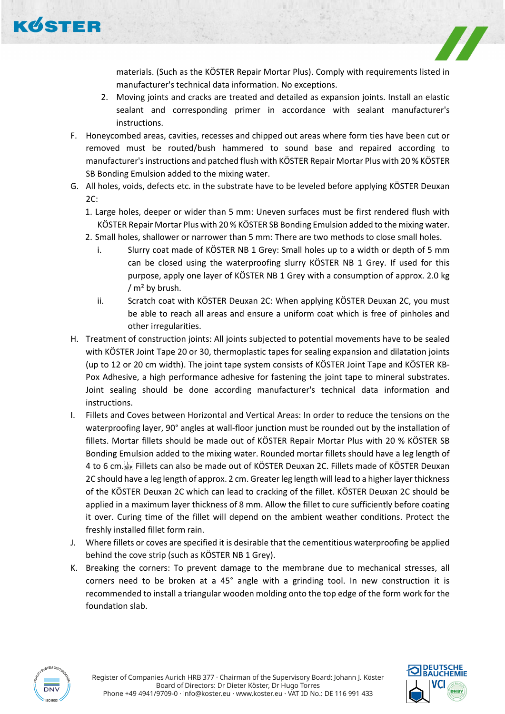KØSTER



materials. (Such as the KÖSTER Repair Mortar Plus). Comply with requirements listed in manufacturer's technical data information. No exceptions.

- 2. Moving joints and cracks are treated and detailed as expansion joints. Install an elastic sealant and corresponding primer in accordance with sealant manufacturer's instructions.
- F. Honeycombed areas, cavities, recesses and chipped out areas where form ties have been cut or removed must be routed/bush hammered to sound base and repaired according to manufacturer's instructions and patched flush with KÖSTER Repair Mortar Plus with 20 % KÖSTER SB Bonding Emulsion added to the mixing water.
- G. All holes, voids, defects etc. in the substrate have to be leveled before applying KÖSTER Deuxan 2C:
	- 1. Large holes, deeper or wider than 5 mm: Uneven surfaces must be first rendered flush with KÖSTER Repair Mortar Plus with 20 % KÖSTER SB Bonding Emulsion added to the mixing water.
	- 2. Small holes, shallower or narrower than 5 mm: There are two methods to close small holes.
		- i. Slurry coat made of KÖSTER NB 1 Grey: Small holes up to a width or depth of 5 mm can be closed using the waterproofing slurry KÖSTER NB 1 Grey. If used for this purpose, apply one layer of KÖSTER NB 1 Grey with a consumption of approx. 2.0 kg  $/m<sup>2</sup>$  by brush.
		- ii. Scratch coat with KÖSTER Deuxan 2C: When applying KÖSTER Deuxan 2C, you must be able to reach all areas and ensure a uniform coat which is free of pinholes and other irregularities.
- H. Treatment of construction joints: All joints subjected to potential movements have to be sealed with KÖSTER Joint Tape 20 or 30, thermoplastic tapes for sealing expansion and dilatation joints (up to 12 or 20 cm width). The joint tape system consists of KÖSTER Joint Tape and KÖSTER KB-Pox Adhesive, a high performance adhesive for fastening the joint tape to mineral substrates. Joint sealing should be done according manufacturer's technical data information and instructions.
- I. Fillets and Coves between Horizontal and Vertical Areas: In order to reduce the tensions on the waterproofing layer, 90° angles at wall-floor junction must be rounded out by the installation of fillets. Mortar fillets should be made out of KÖSTER Repair Mortar Plus with 20 % KÖSTER SB Bonding Emulsion added to the mixing water. Rounded mortar fillets should have a leg length of 4 to 6 cm. Fillets can also be made out of KÖSTER Deuxan 2C. Fillets made of KÖSTER Deuxan 2C should have a leg length of approx. 2 cm. Greater leg length will lead to a higher layer thickness of the KÖSTER Deuxan 2C which can lead to cracking of the fillet. KÖSTER Deuxan 2C should be applied in a maximum layer thickness of 8 mm. Allow the fillet to cure sufficiently before coating it over. Curing time of the fillet will depend on the ambient weather conditions. Protect the freshly installed fillet form rain.
- J. Where fillets or coves are specified it is desirable that the cementitious waterproofing be applied behind the cove strip (such as KÖSTER NB 1 Grey).
- K. Breaking the corners: To prevent damage to the membrane due to mechanical stresses, all corners need to be broken at a 45° angle with a grinding tool. In new construction it is recommended to install a triangular wooden molding onto the top edge of the form work for the foundation slab.



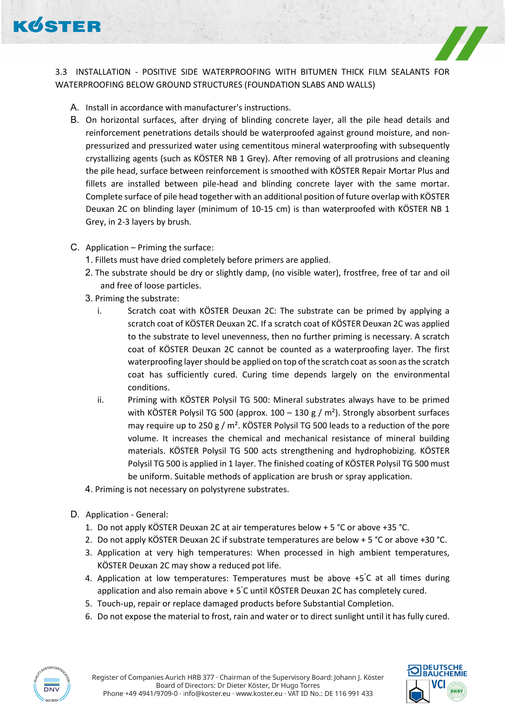

3.3 INSTALLATION - POSITIVE SIDE WATERPROOFING WITH BITUMEN THICK FILM SEALANTS FOR WATERPROOFING BELOW GROUND STRUCTURES (FOUNDATION SLABS AND WALLS)

- A. Install in accordance with manufacturer's instructions.
- B. On horizontal surfaces, after drying of blinding concrete layer, all the pile head details and reinforcement penetrations details should be waterproofed against ground moisture, and nonpressurized and pressurized water using cementitous mineral waterproofing with subsequently crystallizing agents (such as KÖSTER NB 1 Grey). After removing of all protrusions and cleaning the pile head, surface between reinforcement is smoothed with KÖSTER Repair Mortar Plus and fillets are installed between pile-head and blinding concrete layer with the same mortar. Complete surface of pile head together with an additional position of future overlap with KÖSTER Deuxan 2C on blinding layer (minimum of 10-15 cm) is than waterproofed with KÖSTER NB 1 Grey, in 2-3 layers by brush.
- C. Application Priming the surface:
	- 1. Fillets must have dried completely before primers are applied.
	- 2. The substrate should be dry or slightly damp, (no visible water), frostfree, free of tar and oil and free of loose particles.
	- 3. Priming the substrate:
		- i. Scratch coat with KÖSTER Deuxan 2C: The substrate can be primed by applying a scratch coat of KÖSTER Deuxan 2C. If a scratch coat of KÖSTER Deuxan 2C was applied to the substrate to level unevenness, then no further priming is necessary. A scratch coat of KÖSTER Deuxan 2C cannot be counted as a waterproofing layer. The first waterproofing layer should be applied on top of the scratch coat as soon as the scratch coat has sufficiently cured. Curing time depends largely on the environmental conditions.
		- ii. Priming with KÖSTER Polysil TG 500: Mineral substrates always have to be primed with KÖSTER Polysil TG 500 (approx.  $100 - 130$  g / m<sup>2</sup>). Strongly absorbent surfaces may require up to 250 g /  $m<sup>2</sup>$ . KÖSTER Polysil TG 500 leads to a reduction of the pore volume. It increases the chemical and mechanical resistance of mineral building materials. KÖSTER Polysil TG 500 acts strengthening and hydrophobizing. KÖSTER Polysil TG 500 is applied in 1 layer. The finished coating of KÖSTER Polysil TG 500 must be uniform. Suitable methods of application are brush or spray application.
	- 4. Priming is not necessary on polystyrene substrates.
- D. Application General:
	- 1. Do not apply KÖSTER Deuxan 2C at air temperatures below + 5 °C or above +35 °C.
	- 2. Do not apply KÖSTER Deuxan 2C if substrate temperatures are below + 5 °C or above +30 °C.
	- 3. Application at very high temperatures: When processed in high ambient temperatures, KÖSTER Deuxan 2C may show a reduced pot life.
	- 4. Application at low temperatures: Temperatures must be above +5° C at all times during application and also remain above + 5° C until KÖSTER Deuxan 2C has completely cured.
	- 5. Touch-up, repair or replace damaged products before Substantial Completion.
	- 6. Do not expose the material to frost, rain and water or to direct sunlight until it has fully cured.



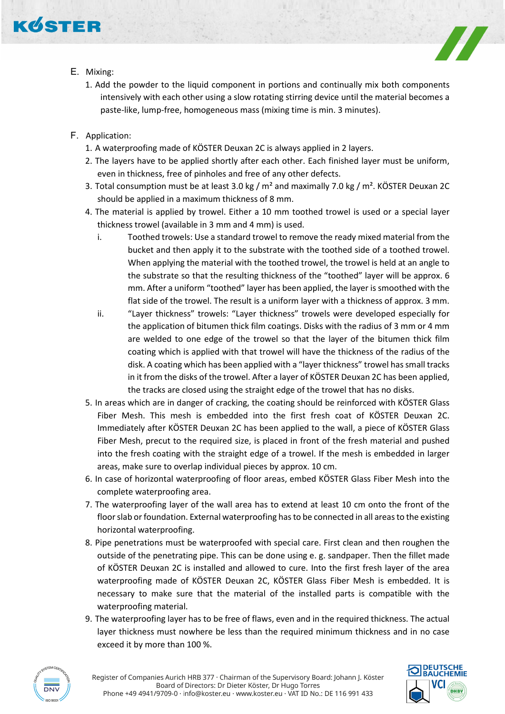

- E. Mixing:
	- 1. Add the powder to the liquid component in portions and continually mix both components intensively with each other using a slow rotating stirring device until the material becomes a paste-like, lump-free, homogeneous mass (mixing time is min. 3 minutes).
- F. Application:
	- 1. A waterproofing made of KÖSTER Deuxan 2C is always applied in 2 layers.
	- 2. The layers have to be applied shortly after each other. Each finished layer must be uniform, even in thickness, free of pinholes and free of any other defects.
	- 3. Total consumption must be at least 3.0 kg /  $m^2$  and maximally 7.0 kg /  $m^2$ . KÖSTER Deuxan 2C should be applied in a maximum thickness of 8 mm.
	- 4. The material is applied by trowel. Either a 10 mm toothed trowel is used or a special layer thickness trowel (available in 3 mm and 4 mm) is used.
		- i. Toothed trowels: Use a standard trowel to remove the ready mixed material from the bucket and then apply it to the substrate with the toothed side of a toothed trowel. When applying the material with the toothed trowel, the trowel is held at an angle to the substrate so that the resulting thickness of the "toothed" layer will be approx. 6 mm. After a uniform "toothed" layer has been applied, the layer is smoothed with the flat side of the trowel. The result is a uniform layer with a thickness of approx. 3 mm.
		- ii. "Layer thickness" trowels: "Layer thickness" trowels were developed especially for the application of bitumen thick film coatings. Disks with the radius of 3 mm or 4 mm are welded to one edge of the trowel so that the layer of the bitumen thick film coating which is applied with that trowel will have the thickness of the radius of the disk. A coating which has been applied with a "layer thickness" trowel has small tracks in it from the disks of the trowel. After a layer of KÖSTER Deuxan 2C has been applied, the tracks are closed using the straight edge of the trowel that has no disks.
	- 5. In areas which are in danger of cracking, the coating should be reinforced with KÖSTER Glass Fiber Mesh. This mesh is embedded into the first fresh coat of KÖSTER Deuxan 2C. Immediately after KÖSTER Deuxan 2C has been applied to the wall, a piece of KÖSTER Glass Fiber Mesh, precut to the required size, is placed in front of the fresh material and pushed into the fresh coating with the straight edge of a trowel. If the mesh is embedded in larger areas, make sure to overlap individual pieces by approx. 10 cm.
	- 6. In case of horizontal waterproofing of floor areas, embed KÖSTER Glass Fiber Mesh into the complete waterproofing area.
	- 7. The waterproofing layer of the wall area has to extend at least 10 cm onto the front of the floor slab or foundation. External waterproofing has to be connected in all areas to the existing horizontal waterproofing.
	- 8. Pipe penetrations must be waterproofed with special care. First clean and then roughen the outside of the penetrating pipe. This can be done using e. g. sandpaper. Then the fillet made of KÖSTER Deuxan 2C is installed and allowed to cure. Into the first fresh layer of the area waterproofing made of KÖSTER Deuxan 2C, KÖSTER Glass Fiber Mesh is embedded. It is necessary to make sure that the material of the installed parts is compatible with the waterproofing material.
	- 9. The waterproofing layer has to be free of flaws, even and in the required thickness. The actual layer thickness must nowhere be less than the required minimum thickness and in no case exceed it by more than 100 %.